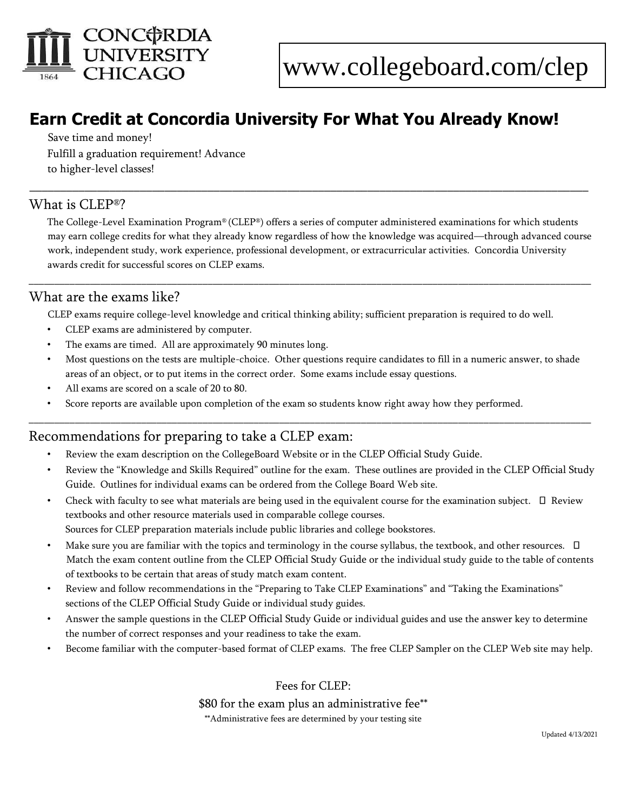

# **Earn Credit at Concordia University For What You Already Know!**

Save time and money! Fulfill a graduation requirement! Advance to higher-level classes!

## What is CLEP®?

The College-Level Examination Program® (CLEP®) offers a series of computer administered examinations for which students may earn college credits for what they already know regardless of how the knowledge was acquired—through advanced course work, independent study, work experience, professional development, or extracurricular activities. Concordia University awards credit for successful scores on CLEP exams.

\_\_\_\_\_\_\_\_\_\_\_\_\_\_\_\_\_\_\_\_\_\_\_\_\_\_\_\_\_\_\_\_\_\_\_\_\_\_\_\_\_\_\_\_\_\_\_\_\_\_\_\_\_\_\_\_\_\_\_\_\_\_\_\_\_\_\_\_\_\_\_\_\_\_\_\_\_\_\_\_\_\_\_\_\_\_\_\_\_\_\_\_\_\_\_\_\_\_\_\_\_\_\_\_\_\_\_\_\_\_

\_\_\_\_\_\_\_\_\_\_\_\_\_\_\_\_\_\_\_\_\_\_\_\_\_\_\_\_\_\_\_\_\_\_\_\_\_\_\_\_\_\_\_\_\_\_\_\_\_\_\_\_\_\_\_\_\_\_\_\_\_\_\_\_\_\_\_\_\_\_\_\_\_\_\_\_\_\_\_\_\_\_\_\_\_\_\_\_\_\_\_

## What are the exams like?

CLEP exams require college-level knowledge and critical thinking ability; sufficient preparation is required to do well.

- CLEP exams are administered by computer.
- The exams are timed. All are approximately 90 minutes long.
- Most questions on the tests are multiple-choice. Other questions require candidates to fill in a numeric answer, to shade areas of an object, or to put items in the correct order. Some exams include essay questions.

\_\_\_\_\_\_\_\_\_\_\_\_\_\_\_\_\_\_\_\_\_\_\_\_\_\_\_\_\_\_\_\_\_\_\_\_\_\_\_\_\_\_\_\_\_\_\_\_\_\_\_\_\_\_\_\_\_\_\_\_\_\_\_\_\_\_\_\_\_\_\_\_\_\_\_\_\_\_\_\_\_\_\_\_\_\_\_\_\_\_\_\_\_\_\_\_\_\_\_\_\_\_\_\_\_\_\_\_\_\_

- All exams are scored on a scale of 20 to 80.
- Score reports are available upon completion of the exam so students know right away how they performed.

## Recommendations for preparing to take a CLEP exam:

- Review the exam description on the CollegeBoard Website or in the CLEP Official Study Guide.
- Review the "Knowledge and Skills Required" outline for the exam. These outlines are provided in the CLEP Official Study Guide. Outlines for individual exams can be ordered from the College Board Web site.
- Check with faculty to see what materials are being used in the equivalent course for the examination subject.  $\Box$  Review textbooks and other resource materials used in comparable college courses. Sources for CLEP preparation materials include public libraries and college bookstores.
- Make sure you are familiar with the topics and terminology in the course syllabus, the textbook, and other resources.  $\Box$ Match the exam content outline from the CLEP Official Study Guide or the individual study guide to the table of contents of textbooks to be certain that areas of study match exam content.
- Review and follow recommendations in the "Preparing to Take CLEP Examinations" and "Taking the Examinations" sections of the CLEP Official Study Guide or individual study guides.
- Answer the sample questions in the CLEP Official Study Guide or individual guides and use the answer key to determine the number of correct responses and your readiness to take the exam.
- Become familiar with the computer-based format of CLEP exams. The free CLEP Sampler on the CLEP Web site may help.

Fees for CLEP: \$80 for the exam plus an administrative fee\*\* \*\*Administrative fees are determined by your testing site